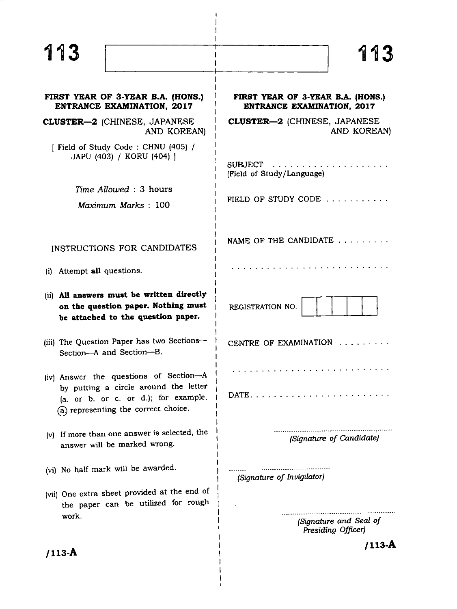|  | 113 |  |
|--|-----|--|
|  |     |  |

| FIRST YEAR OF 3-YEAR B.A. (HONS.)<br><b>ENTRANCE EXAMINATION, 2017</b>                                                                                           | FIRST YEAR OF 3-YEAR B.A. (HONS.)<br>ENTRANCE EXAMINATION, 2017 |
|------------------------------------------------------------------------------------------------------------------------------------------------------------------|-----------------------------------------------------------------|
| <b>CLUSTER-2 (CHINESE, JAPANESE</b><br>AND KOREAN)                                                                                                               | <b>CLUSTER-2 (CHINESE, JAPANESE)</b><br>AND KOREAN)             |
| [ Field of Study Code: CHNU (405) /<br>JAPU (403) / KORU (404) ]<br>Time Allowed: 3 hours                                                                        | (Field of Study/Language)                                       |
| Maximum Marks: 100                                                                                                                                               | FIELD OF STUDY CODE                                             |
| INSTRUCTIONS FOR CANDIDATES                                                                                                                                      | NAME OF THE CANDIDATE                                           |
| (i) Attempt all questions.                                                                                                                                       |                                                                 |
| (ii) All answers must be written directly<br>on the question paper. Nothing must<br>be attached to the question paper.                                           | REGISTRATION NO.                                                |
| (iii) The Question Paper has two Sections-<br>Section-A and Section--B.                                                                                          | CENTRE OF EXAMINATION                                           |
| (iv) Answer the questions of Section--A<br>by putting a circle around the letter<br>(a. or b. or c. or d.); for example,<br>(a) representing the correct choice. |                                                                 |
| (v) If more than one answer is selected, the<br>answer will be marked wrong.                                                                                     | (Signature of Candidate)                                        |
| (vi) No half mark will be awarded.                                                                                                                               | (Signature of Invigilator)                                      |
| (vii) One extra sheet provided at the end of<br>the paper can be utilized for rough<br>work.                                                                     |                                                                 |
|                                                                                                                                                                  | (Signature and Seal of<br>Presiding Officer)                    |
| $/113-A$                                                                                                                                                         | $/113-A$                                                        |

 $\overline{1}$  $\overline{1}$ Ť

 $\mathbf{I}$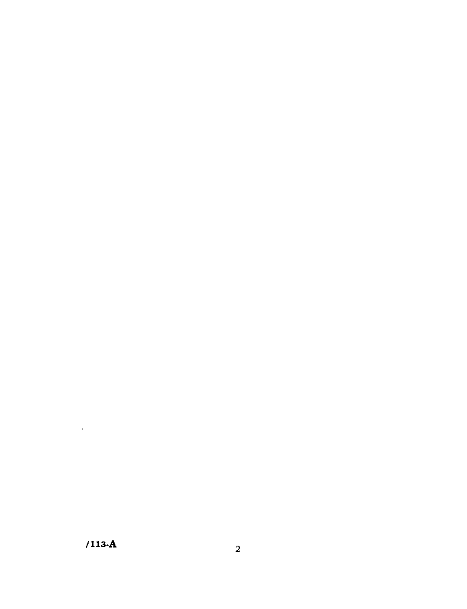$\mathcal{L}^{\text{max}}_{\text{max}}$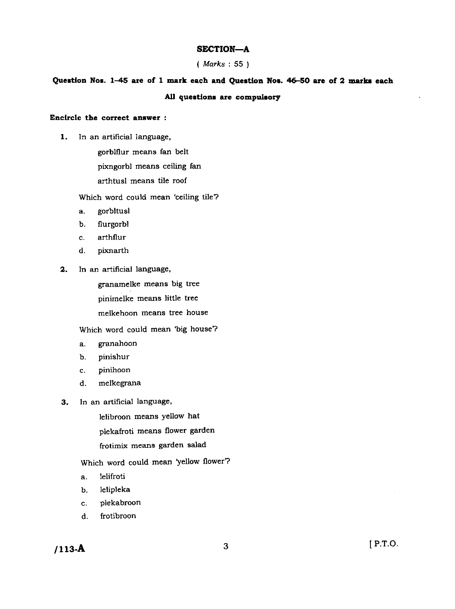### **SECTION-A**

( Marks : 55 )

# **Question Nos. 1-45 are of 1 mark each and Question Nos. 46-50 are of 2 marks each All questions are compulsory**

#### **Encircle the correct answer** :

**1.** In an artificial language,

gorblflur means fan belt pixngorbl means ceiling fan arthtusl means tile roof

Which word could mean 'ceiling tile?

- a. gorbltusl
- b. flurgorbl
- c. arthflur
- d. pixnarth
- 2. In an artificial language,

granamelke means big tree pinimelke means little tree melkehoon means tree house

Which word could mean 'big house?

- a. granahoon
- b. pinishur
- c. pinihoon
- d. melkegrana
- 3. In an artificial language,

lelibroon means yellow hat plekafroti means flower garden frotimix means garden salad

Which word could mean 'yellow flower?

- a. lelifroti
- b. lelipleka
- c. plekabroon
- d. frotibroon

**/113-A** 3 ( P.T.O.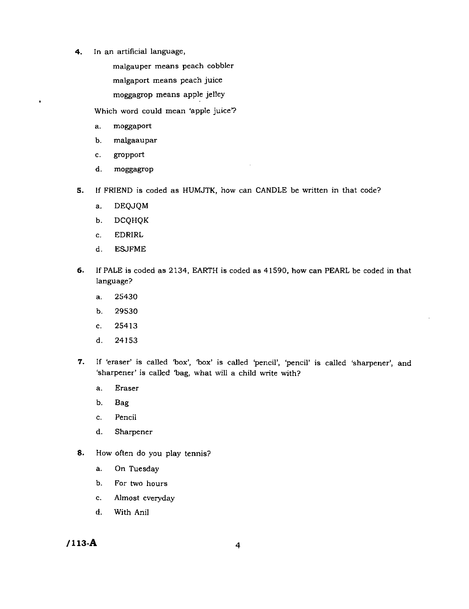4. In an artificial language,

malgauper means peach cobbler malgaport means peach juice moggagrop means apple jelley

Which word could mean 'apple juice?

a. moggaport

 $\overline{\phantom{a}}$ 

- b. malgaaupar
- c. gropport
- d. moggagrop
- S. If FRIEND is coded as HUMJTK, how can CANDLE be written in that code?
	- a. DEQJQM
	- b. DCQHQK
	- c. EDRIRL
	- d. ESJFME
- 6. If PALE is coded as 2134, EARTH is coded as 41590, how can PEARL be coded in that language?
	- a. 25430
	- b. 29530
	- c. 25413
	- d. 24153
- 7. If 'eraser' is called 'box', 'box' is called 'pencil', 'pencil' is called 'sharpener', and 'sharpener' is called 'bag, what will a child write with?
	- a. Eraser
	- b. Bag
	- c. Pencil
	- d. Sharpener
- 8. How often do you play tennis?
	- a. On Tuesday
	- b. For two hours
	- c. Almost everyday
	- d. With Ani!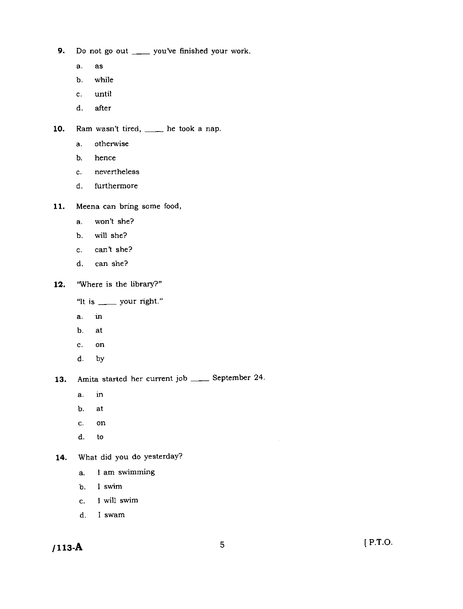- **9.** Do not go out \_\_\_\_\_ you've finished your work.
	- a. as
	- b. while
	- c. until
	- d. after
- 10. Ram wasn't tired, <u>each</u> he took a nap.
	- a. otherwise
	- b. hence
	- c. nevertheless
	- d. furthermore
- **11.** Meena can bring some food,
	- **a. won't she?**
	- b. will she?
	- c. can't she?
	- d. can she?
- 12. **Where is the library?"** 
	- "It is \_\_\_\_\_ your right."
	- a. m
	- b. at
	- c. on
	- d. by

13. Amita started her current job \_\_\_ September 24.

- a. m
- b. at
- c. on
- d. to
- **14.** What did you do yesterday?
	- a. I am swimming
	- b. I swim
	- c. I will swim
	- d. I swam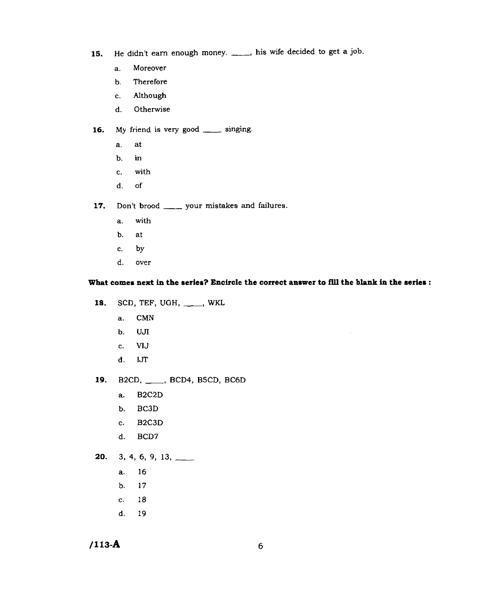- 15. He didn't earn enough money. \_\_\_\_, his wife decided to get a job.
	- a. Moreover
	- b. Therefore
	- c. Although
	- d. Otherwise
- 16. My friend is very good \_\_\_ singing.
	- a. at
	- b. in
	- c. with
	- d. of
- 17. Don't brood \_\_\_ your mistakes and failures.
	- a. with
	- b. at
	- c. by
	- d. over

## **What comea next in the aerlea? Encircle the correct anawer to fill the blank in the series** :

- 18. SCD, TEF, UGH, \_\_\_\_, WKL
	- a. CMN
	- b. UJJ
	- c. VIJ
	- d. IJT
- 19. **B2CD, \_\_\_, BCD4, B5CD, BC6D** 
	- a. B2C2D
	- b. BC3D
	- c. B2C3D
	- d. BCD7
- **20.** 3, 4, 6, 9, 13, \_\_\_\_
	- a. 16
	- b. 17
	- c. 18
	- d. 19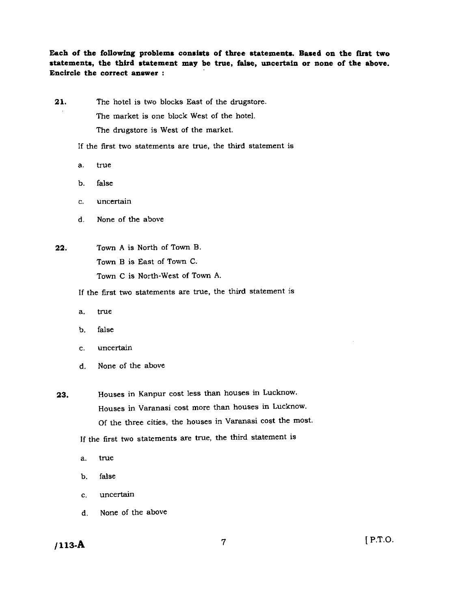Each of the following problems consists of three statements. Based on the first two **statements, the third statement may be true, false, uncertain or none of the above. Encircle the correct answer** :

**21.** The hotel is two blocks East of the drugstore. The market is one block West of the hotel. The drugstore is West of the market.

If the frrst two statements are true, the third statement is

- a. true
- b. false
- **c. uncertain**
- d. None of the above
- **22.** Town A is North of Town B. Town B is East of Town C. Town C is North-West of Town A.

If the first two statements are true, the third statement is

- a. true
- b. false
- c. uncertain
- d. None of the above
- 23. Houses in Kanpur cost less than houses in Lucknow. Houses in Varanasi cost more than houses in Lucknow. Of the three cities, the houses in Varanasi cost the most.

If the frrst two statements are true, the third statement is

- a. true
- b. false
- c. uncertain
- d. None of the above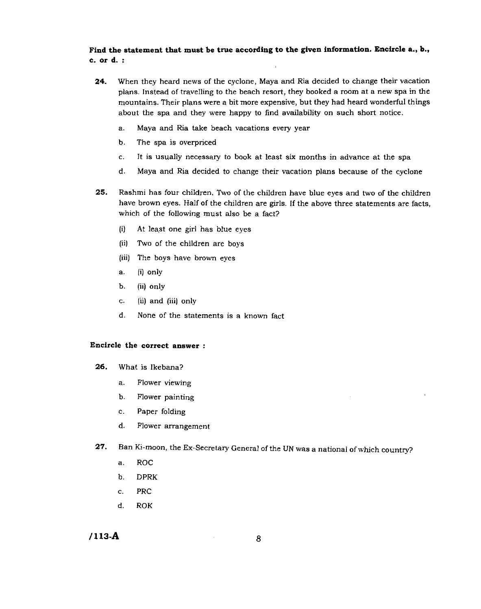### **Find the statement that must be true according to the given information. Encircle a., b., c. or d.** :

- **24.** When they heard news of the cyclone, Maya and Ria decided to change their vacation plans. Instead of travelling to the beach resort, they booked a room at a new spa in the mountains. Their plans were a bit more expensive, but they had heard wonderful things about the spa and they were happy to find availability on such short notice.
	- a. Maya and Ria take beach vacations every year
	- b. The spa is overpriced
	- c. It is usually necessary to book at least six months in advance at the spa
	- d. Maya and Ria decided to change their vacation plans because of the cyclone
- **25.** Rashmi has four children. Two of the children have blue eyes and two of the children have brown eyes. Half of the children are girls. If the above three statements are facts, which of the following must also be a fact?
	- (i) At least one girl has blue eyes
	- (ii) Two of the children are boys
	- (iii) The boys have brown eyes
	- a. (i) only
	- b. (ii) only
	- c. (ii) and (iii) only
	- d. None of the statements is a known fact

### **Encircle the correct answer**

- **26.** What is Ikebana?
	- a. Flower viewing
	- b. Flower painting
	- c. Paper folding
	- d. Flower arrangement

# **27.** Ban Ki-moon, the Ex-Secretary General of the UN was a national of which country?

- a. ROC
- b. DPRK
- c. PRC
- d. ROK

## **/113-A**

 $\bar{z}$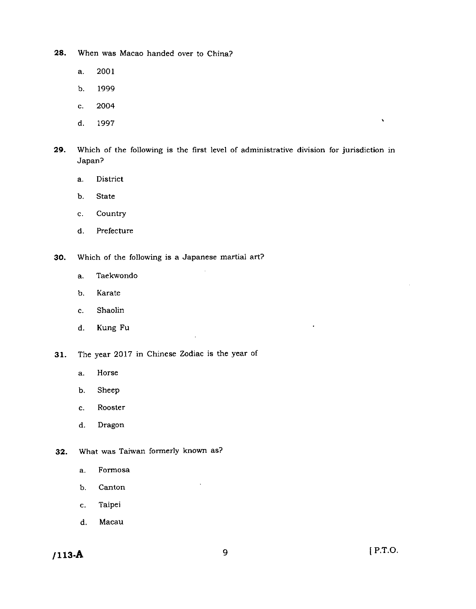- **28.** When was Macao handed over to China?
	- a. 2001
	- b. 1999
	- c. 2004
	- d. 1997
- **29.** Which of the following is the first level of administrative division for jurisdiction in Japan?
	- a. District
	- b. State
	- c. Country
	- d. Prefecture
- **30.** Which of the following is a Japanese martial art?
	- a. Taekwondo
	- b. Karate
	- c. Shaolin
	- d. Kung Fu
- **31.** The year 2017 in Chinese Zodiac is the year of
	- a. Horse
	- b. Sheep
	- c. Rooster
	- d. Dragon
- **32.** What was Taiwan formerly known as?
	- a. Formosa
	- b. Canton
	- c. Taipei
	- d. Macau

**/113-A** 9 [ **P.T.O.** 

 $\bar{\phantom{a}}$ 

 $\ddot{\phantom{0}}$ 

i.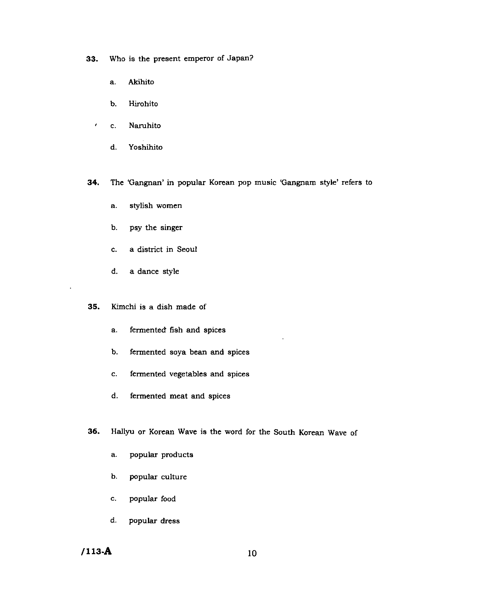- 33. Who is the present emperor of Japan?
	- a. Akihito
	- b. Hirohito
	- c. Naruhito

 $\pmb{\epsilon}$ 

d. Yoshihito

34. The 'Gangnan' in popular Korean pop music 'Gangnam style' refers to

- a. stylish women
- b. psy the singer
- c. a district in Seoul
- d. a dance style
- 35. Kimchi is a dish made of
	- a. fermented fish and spices
	- b. fermented soya bean and spices
	- c. fermented vegetables and spices
	- d. fermented meat and spices
- 36. Hallyu or Korean Wave is the word for the South Korean Wave of
	- a. popular products
	- b. popular culture
	- c. popular food
	- d. popular dress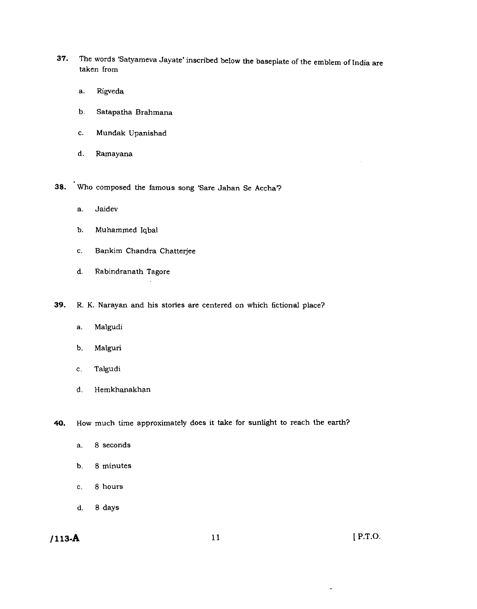- 37. The words 'Satyameva Jayate' inscribed below the baseplate of the emblem of India are taken from
	- a. Rigveda
	- b. Satapatha Brahmana
	- c. Mundak Upanishad
	- d. Ramayana
- 38. Who composed the famous song 'Sare Jahan Se Accha?
	- a. Jaidev
	- b. Muhammed Iqbal
	- c. Bankim Chandra Chatterjee
	- d. Rabindranath Tagore
- 39. R. K. Narayan and his stories are centered on which fictional place?
	- a. Malgudi
	- b. Malguri
	- c. Talgudi
	- d. Hemkhanakhan
- 40. How much time approximately does it take for sunlight to reach the earth?
	- a. 8 seconds
	- b. 8 minutes
	- c. 8 hours
	- d. 8 days

# **/113-A** 11 [ P.T.O.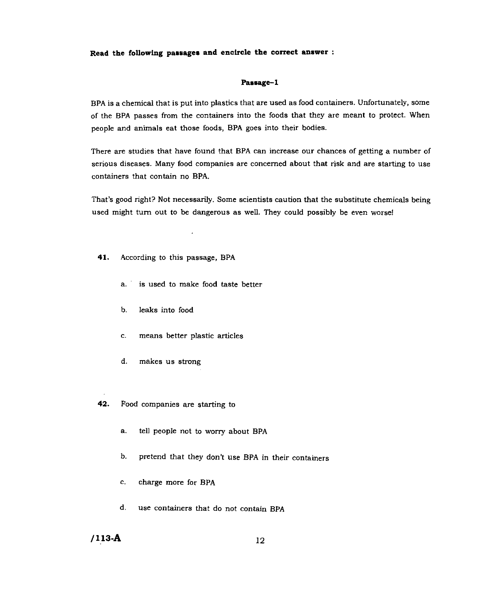**Read the following passages and encircle the correct answer** 

#### **Passage-1**

BPA is a chemical that is put into plastics that are used as food containers. Unfortunately, some of the BPA passes from the containers into the foods that they are meant to protect. When people and animals eat those foods, BPA goes into their bodies.

There are studies that have found that BPA can increase our chances of getting a number of serious diseases. Many food companies are concerned about that risk and are starting to use containers that contain no BPA.

That's good right? Not necessarily. Some scientists caution that the substitute chemicals being used might turn out to be dangerous as well. They could possibly be even worse!

- **41.** According to this passage, BPA
	- a. is used to make food taste better
	- b. leaks into food
	- c. means better plastic articles
	- d. makes us strong
- **42.** Food companies are starting to
	- a. tell people not to worry about BPA
	- b. pretend that they don't use BPA in their containers
	- c. charge more for BPA
	- d. use containers that do not contain BPA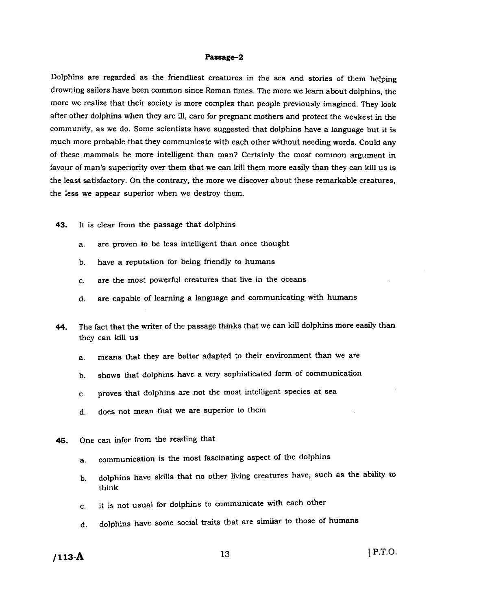#### Passage-2

Dolphins are regarded as the friendliest creatures in the sea and stories of them helping drowning sailors have been common since Roman times. The more we learn about dolphins, the more we realize that their society is more complex than people previously imagined. They look after other dolphins when they are ill, care for pregnant mothers and protect the weakest in the community, as we do. Some scientists have suggested that dolphins have a language but it is much more probable that they communicate with each other without needing words. Could any of these mammals be more intelligent than man? Certainly the most common argument in favour of man's superiority over them that we can kill them more easily than they can kill us is the least satisfactory. On the contrary, the more we discover about these remarkable creatures, the less we appear superior when we destroy them.

- **43.** It is clear from the passage that dolphins
	- a. are proven to be less intelligent than once thought
	- b. have a reputation for being friendly to humans
	- c. are the most powerful creatures that live in the oceans
	- d. are capable of learning a language and communicating with humans
- **44.** The fact that the writer of the passage thinks that we can kill dolphins more easily than they can kill us
	- a. means that they are better adapted to their environment than we are
	- b. shows that dolphins have a very sophisticated form of communication
	- c. proves that dolphins are not the most intelligent species at sea
	- d. does not mean that we are superior to them
- **45.** One can infer from the reading that
	- a. communication is the most fascinating aspect of the dolphins
	- b. dolphins have skills that no other living creatures have, such as the ability to think
	- c. it is not usual for dolphins to communicate with each other
	- d. dolphins have some social traits that are similar to those of humans

**/113-A** 13 [ P.T.O.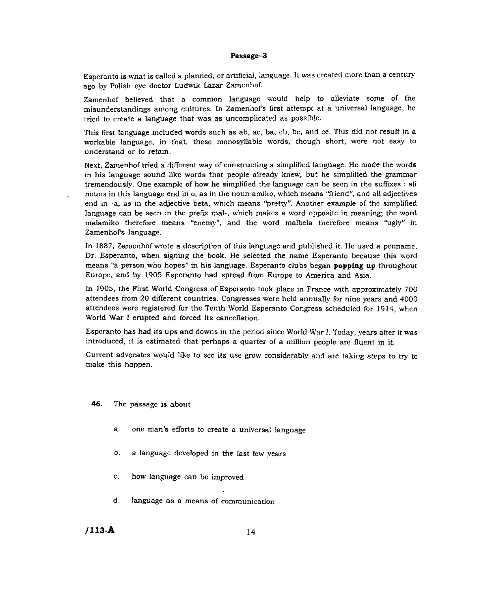#### **Passage-3**

Esperanto is what is called a planned, or artificial, language. It was created more than a century ago by Polish eye doctor Ludwik Lazar Zamenhof.

Zamenhof believed that a common language would help to alleviate some of the misunderstandings among cultures. In Zamenhofs first attempt at a universal language, he tried to create a language that was as uncomplicated as possible.

This first language included words such as ab, ac, ba, eb, be, and ce. This did not result in a workable language, in that, these monosyllabic words, though short, were not easy to understand or to retain.

Next, Zamenhof tried a different way of constructing a simplified language. He made the words in his language sound like words that people already knew, but he simplified the grammar tremendously. One example of how he simplified the language can be seen in the suffixes : all nouns in this language end in o, as in the noun amiko, which means "friend", and all adjectives end in -a, as in the adjective beta, which means "pretty". Another example of the simplified language can be seen in the prefix mal-, which makes a word opposite in meaning; the word malamiko therefore means "enemy", and the word malbela therefore means ''ugly" in Zamenhof's language.

In 1887, Zamenhof wrote a description of this language and published it. He used a penname, Dr. Esperanto, when signing the book. He selected the name Esperanto because this word means "a person who hopes" in his language. Esperanto clubs began **popping up** throughout Europe, and by 1905 Esperanto had spread from Europe to America and Asia.

In 1905, the First World Congress of Esperanto took place in France with approximately 700 attendees from 20 different countries. Congresses were held annually for nine years and 4000 attendees were registered for the Tenth World Esperanto Congress scheduled for 1914, when World War I erupted and forced its cancellation.

Esperanto has had its ups and downs in the period since World War I. Today, years after it was introduced, it is estimated that perhaps a quarter of a million people are fluent in it.

Current advocates would like to see its use grow considerably and are taking steps to try to make this happen.

**46.** The passage is about

- a. one man's efforts to create a universal language
- b. a language developed in the last few years
- c. how language can be improved
- d. language as a means of communication

**/113-A** 14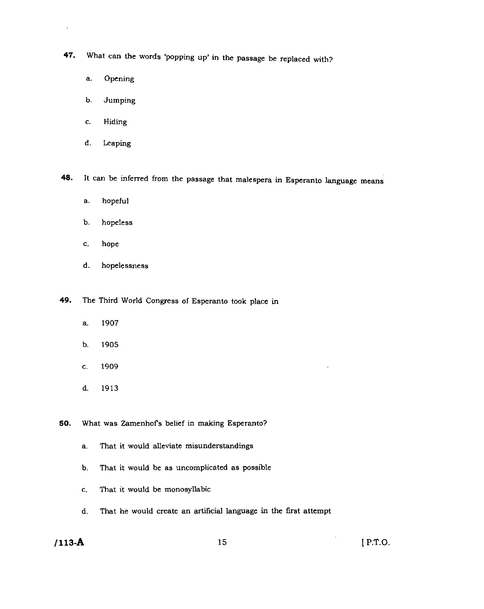47. What can the words 'popping up' in the passage be replaced with?

- a. Opening
- b. Jumping
- c. Hiding
- d. Leaping

48. It can be inferred from the passage that malespera in Esperanto language means

- a. hopeful
- b. hopeless
- c. hope
- d. hopelessness

### 49. The Third World Congress of Esperanto took place in

- a. 1907
- b. 1905
- c. 1909
- d. 1913

50. What was Zamenhofs belief in making Esperanto?

- a. That it would alleviate misunderstandings
- b. That it would be as uncomplicated as possible
- c. That it would be monosyllabic
- d. That he would create an artificial language in the first attempt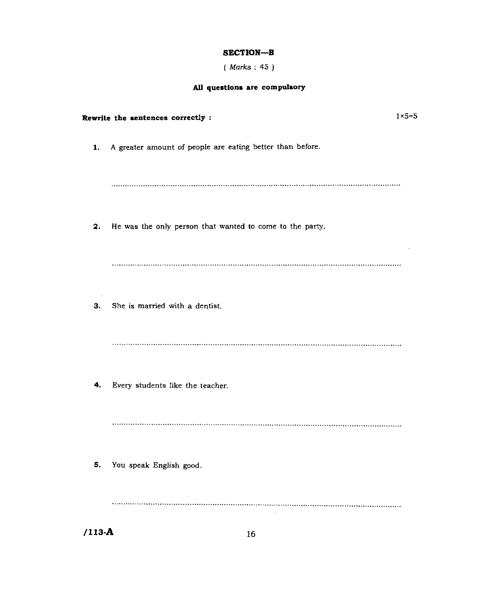# **SECTION-B**

(Marks: 45 )

# **All questions are compulaory**

|          | Rewrite the sentences correctly :                         | $1 \times 5 = 5$ |
|----------|-----------------------------------------------------------|------------------|
| 1.       | A greater amount of people are eating better than before. |                  |
|          |                                                           |                  |
| 2.       | He was the only person that wanted to come to the party.  |                  |
|          |                                                           |                  |
| 3.       | She is married with a dentist.                            |                  |
|          |                                                           |                  |
| 4.       | Every students like the teacher.                          |                  |
|          |                                                           |                  |
| 5.       | You speak English good.                                   |                  |
|          | $\cdot$                                                   |                  |
| $/113-A$ | 16                                                        |                  |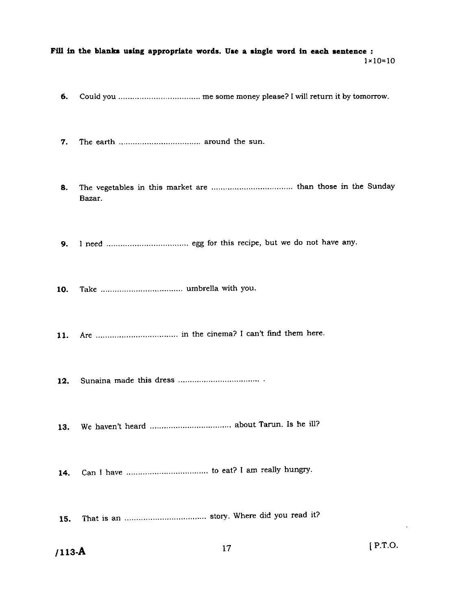**Fill in the blanks using appropriate words. Use a single word in each sentence** :  $1 \times 10 = 10$ 

- 6. Could you ................................... me some money please? I will return it by tomorrow.
- 7. The earth ................................... around the sun.
- 8. The vegetables in this market are . . . . . . . .. .... .. .. ... . . . . . . . . . . .. .. . than those in the Sunday Bazar.
- 9. I need ................................... egg for this recipe, but we do not have any.
- **10.** Take ................................... umbrella with you.
- **11.** Are ................................... in the cinema? I can't find them here.
- 12. Sunaina made this dress ................................... .
- 13. We haven't heard ................................... about Tarun. Is he ill?
- **14.** Can I have ................................... to eat? I am really hungry.
- 15. That is an ................................... story. Where did you read it?

**/113-A** 17 [ P.T.O.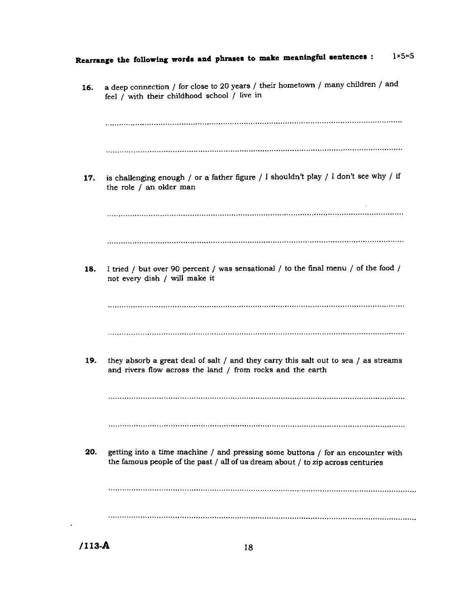# **Rearrange the following words and phrases to make meaningful sentences :**  $1 \times 5=5$

16. a deep connection / for close to 20 years / their hometown / many children / and feel *1* with their childhood school *I* live in ................................................................................................................................. ................................................................................................................................. 17. is challenging enough / or a father figure / I shouldn't play / I don't see why / if the role  $/$  an older man ................................................................................................................................. ................................................................................................................................. 18. I tried / but over 90 percent / was sensational / to the final menu / of the food / not every dish / will make it ································································································································· 19. they absorb a great deal of salt / and they carry this salt out to sea / as streams and rivers flow across the land / from rocks and the earth **20.** getting into a time machine / and pressing some buttons / for an encounter with the famous people of the past  $\ell$  all of us dream about  $\ell$  to zip across centuries ....................................................................................................................................... ······································································································································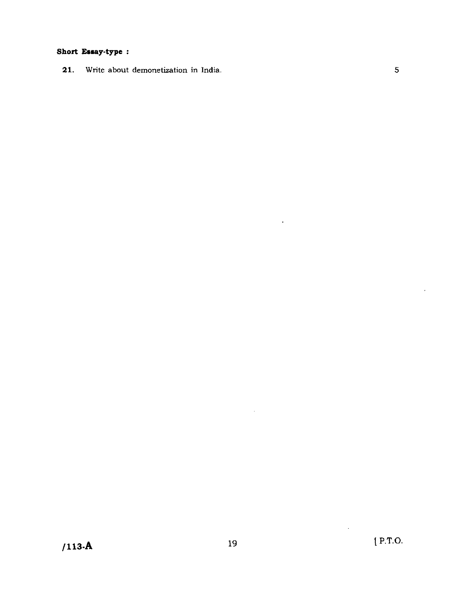# Short Essay-type:

21. Write about demonetization in India.

 $\mathbb{Z}^2$ 

 $\bar{z}$ 

 $\mathcal{L}_{\mathcal{A}}$ 

 $\bar{z}$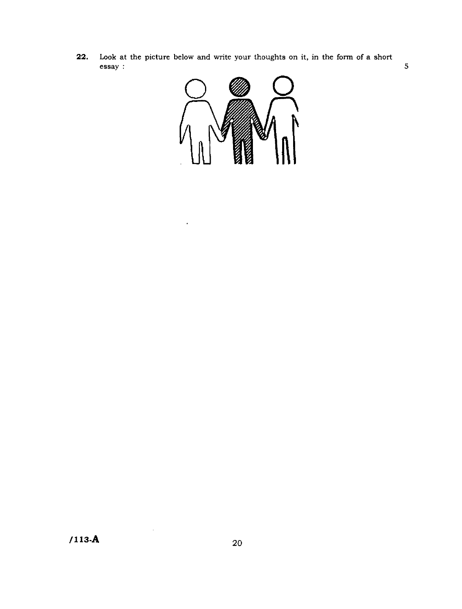22. Look at the picture below and write your thoughts on it, in the form of a short essay :

5

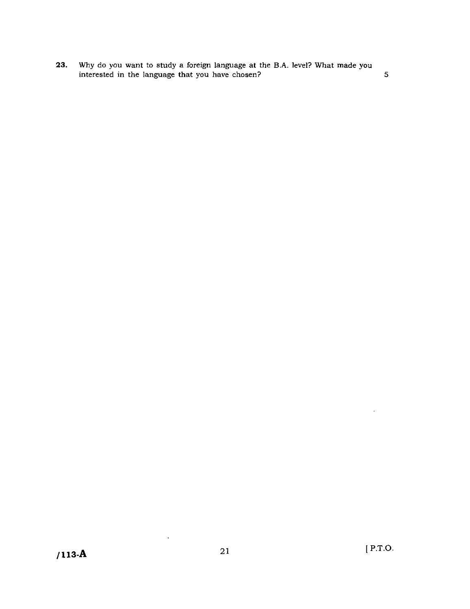23. Why do you want to study a foreign language at the B.A. level? What made you interested in the language that you have chosen? 5

 $\epsilon$ 

 $\sim$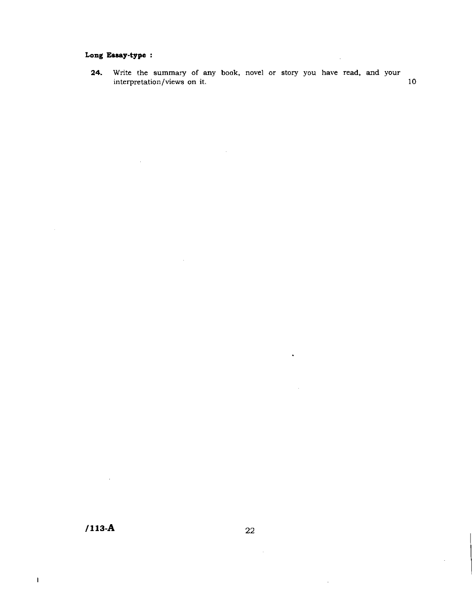## **Long Easay-type** :

 $\sim$ 

 $\hat{\mathcal{A}}$ 

 $\cdot$ 

24. Write the summary of any book, novel or story you have read, and your interpretation/views on it. 10

 $\bar{z}$ 

 $\hat{\mathcal{A}}$ 

**/113-A** 22

 $\mathbf{I}$ 

 $\sim$ 

 $\sim$   $\sim$ 

 $\bar{\beta}$ 

 $\ddot{\phantom{0}}$